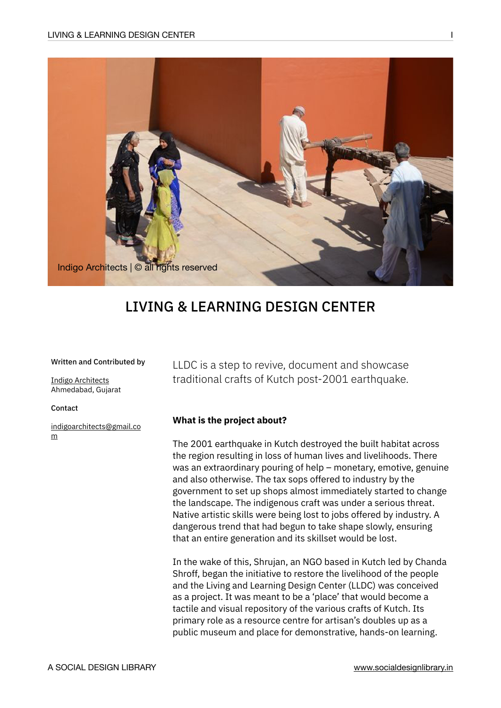

# LIVING & LEARNING DESIGN CENTER

#### Written and Contributed by

[Indigo Architects](http://www.indigo-architects.com/) Ahmedabad, Gujarat

Contact

[indigoarchitects@gmail.co](mailto:indigoarchitects@gmail.com) [m](mailto:indigoarchitects@gmail.com)

LLDC is a step to revive, document and showcase traditional crafts of Kutch post-2001 earthquake.

### **What is the project about?**

The 2001 earthquake in Kutch destroyed the built habitat across the region resulting in loss of human lives and livelihoods. There was an extraordinary pouring of help – monetary, emotive, genuine and also otherwise. The tax sops offered to industry by the government to set up shops almost immediately started to change the landscape. The indigenous craft was under a serious threat. Native artistic skills were being lost to jobs offered by industry. A dangerous trend that had begun to take shape slowly, ensuring that an entire generation and its skillset would be lost.

In the wake of this, Shrujan, an NGO based in Kutch led by Chanda Shroff, began the initiative to restore the livelihood of the people and the Living and Learning Design Center (LLDC) was conceived as a project. It was meant to be a 'place' that would become a tactile and visual repository of the various crafts of Kutch. Its primary role as a resource centre for artisan's doubles up as a public museum and place for demonstrative, hands-on learning.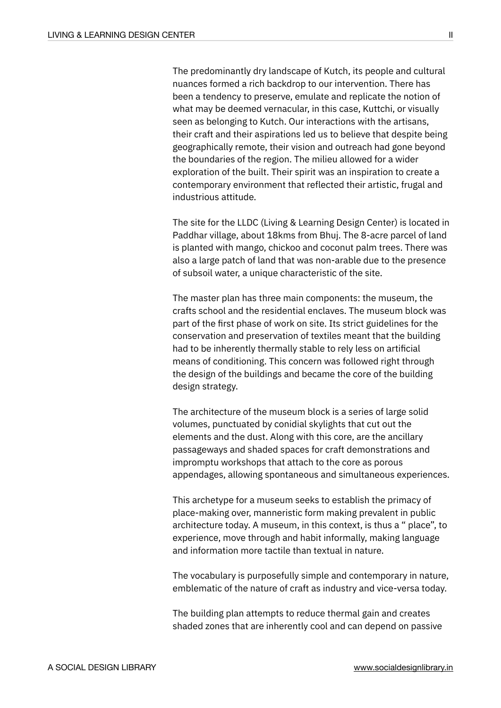The predominantly dry landscape of Kutch, its people and cultural nuances formed a rich backdrop to our intervention. There has been a tendency to preserve, emulate and replicate the notion of what may be deemed vernacular, in this case, Kuttchi, or visually seen as belonging to Kutch. Our interactions with the artisans, their craft and their aspirations led us to believe that despite being geographically remote, their vision and outreach had gone beyond the boundaries of the region. The milieu allowed for a wider exploration of the built. Their spirit was an inspiration to create a contemporary environment that reflected their artistic, frugal and industrious attitude.

The site for the LLDC (Living & Learning Design Center) is located in Paddhar village, about 18kms from Bhuj. The 8-acre parcel of land is planted with mango, chickoo and coconut palm trees. There was also a large patch of land that was non-arable due to the presence of subsoil water, a unique characteristic of the site.

The master plan has three main components: the museum, the crafts school and the residential enclaves. The museum block was part of the first phase of work on site. Its strict guidelines for the conservation and preservation of textiles meant that the building had to be inherently thermally stable to rely less on artificial means of conditioning. This concern was followed right through the design of the buildings and became the core of the building design strategy.

The architecture of the museum block is a series of large solid volumes, punctuated by conidial skylights that cut out the elements and the dust. Along with this core, are the ancillary passageways and shaded spaces for craft demonstrations and impromptu workshops that attach to the core as porous appendages, allowing spontaneous and simultaneous experiences.

This archetype for a museum seeks to establish the primacy of place-making over, manneristic form making prevalent in public architecture today. A museum, in this context, is thus a " place", to experience, move through and habit informally, making language and information more tactile than textual in nature.

The vocabulary is purposefully simple and contemporary in nature, emblematic of the nature of craft as industry and vice-versa today.

The building plan attempts to reduce thermal gain and creates shaded zones that are inherently cool and can depend on passive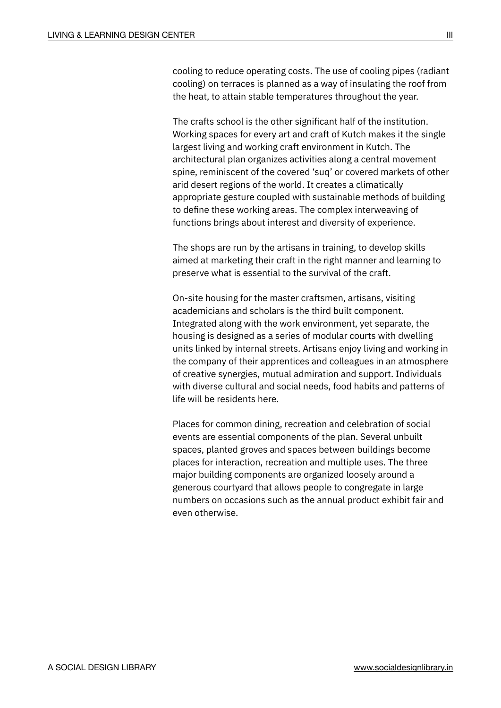cooling to reduce operating costs. The use of cooling pipes (radiant cooling) on terraces is planned as a way of insulating the roof from the heat, to attain stable temperatures throughout the year.

The crafts school is the other significant half of the institution. Working spaces for every art and craft of Kutch makes it the single largest living and working craft environment in Kutch. The architectural plan organizes activities along a central movement spine, reminiscent of the covered 'suq' or covered markets of other arid desert regions of the world. It creates a climatically appropriate gesture coupled with sustainable methods of building to define these working areas. The complex interweaving of functions brings about interest and diversity of experience.

The shops are run by the artisans in training, to develop skills aimed at marketing their craft in the right manner and learning to preserve what is essential to the survival of the craft.

On-site housing for the master craftsmen, artisans, visiting academicians and scholars is the third built component. Integrated along with the work environment, yet separate, the housing is designed as a series of modular courts with dwelling units linked by internal streets. Artisans enjoy living and working in the company of their apprentices and colleagues in an atmosphere of creative synergies, mutual admiration and support. Individuals with diverse cultural and social needs, food habits and patterns of life will be residents here.

Places for common dining, recreation and celebration of social events are essential components of the plan. Several unbuilt spaces, planted groves and spaces between buildings become places for interaction, recreation and multiple uses. The three major building components are organized loosely around a generous courtyard that allows people to congregate in large numbers on occasions such as the annual product exhibit fair and even otherwise.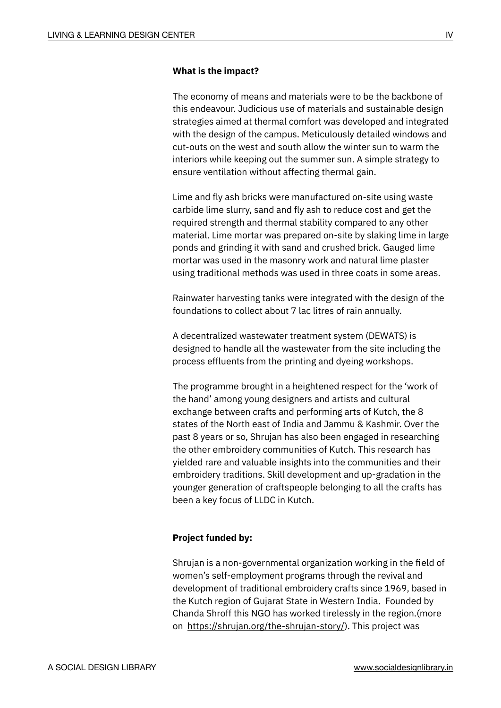#### **What is the impact?**

The economy of means and materials were to be the backbone of this endeavour. Judicious use of materials and sustainable design strategies aimed at thermal comfort was developed and integrated with the design of the campus. Meticulously detailed windows and cut-outs on the west and south allow the winter sun to warm the interiors while keeping out the summer sun. A simple strategy to ensure ventilation without affecting thermal gain.

Lime and fly ash bricks were manufactured on-site using waste carbide lime slurry, sand and fly ash to reduce cost and get the required strength and thermal stability compared to any other material. Lime mortar was prepared on-site by slaking lime in large ponds and grinding it with sand and crushed brick. Gauged lime mortar was used in the masonry work and natural lime plaster using traditional methods was used in three coats in some areas.

Rainwater harvesting tanks were integrated with the design of the foundations to collect about 7 lac litres of rain annually.

A decentralized wastewater treatment system (DEWATS) is designed to handle all the wastewater from the site including the process effluents from the printing and dyeing workshops.

The programme brought in a heightened respect for the 'work of the hand' among young designers and artists and cultural exchange between crafts and performing arts of Kutch, the 8 states of the North east of India and Jammu & Kashmir. Over the past 8 years or so, Shrujan has also been engaged in researching the other embroidery communities of Kutch. This research has yielded rare and valuable insights into the communities and their embroidery traditions. Skill development and up-gradation in the younger generation of craftspeople belonging to all the crafts has been a key focus of LLDC in Kutch.

## **Project funded by:**

Shrujan is a non-governmental organization working in the field of women's self-employment programs through the revival and development of traditional embroidery crafts since 1969, based in the Kutch region of Gujarat State in Western India. Founded by Chanda Shroff this NGO has worked tirelessly in the region.(more on <https://shrujan.org/the-shrujan-story/>). This project was